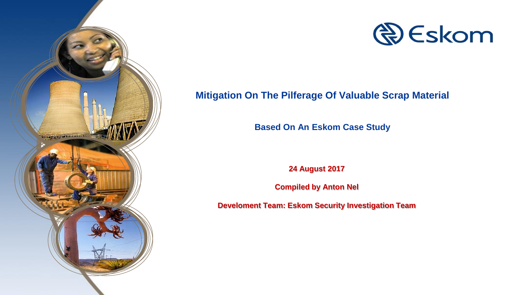



#### **Mitigation On The Pilferage Of Valuable Scrap Material**

**Based On An Eskom Case Study**

**24 August 2017**

**Compiled by Anton Nel**

**Develoment Team: Eskom Security Investigation Team**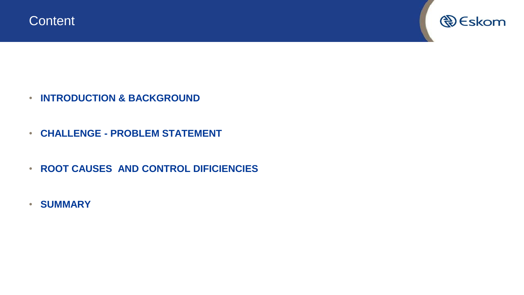

- **INTRODUCTION & BACKGROUND**
- **CHALLENGE - PROBLEM STATEMENT**
- **ROOT CAUSES AND CONTROL DIFICIENCIES**
- **SUMMARY**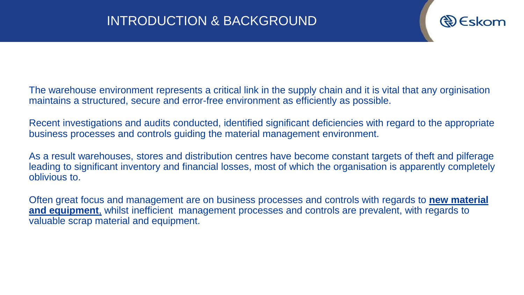

The warehouse environment represents a critical link in the supply chain and it is vital that any orginisation maintains a structured, secure and error-free environment as efficiently as possible.

Recent investigations and audits conducted, identified significant deficiencies with regard to the appropriate business processes and controls guiding the material management environment.

As a result warehouses, stores and distribution centres have become constant targets of theft and pilferage leading to significant inventory and financial losses, most of which the organisation is apparently completely oblivious to.

Often great focus and management are on business processes and controls with regards to **new material and equipment**, whilst inefficient management processes and controls are prevalent, with regards to valuable scrap material and equipment.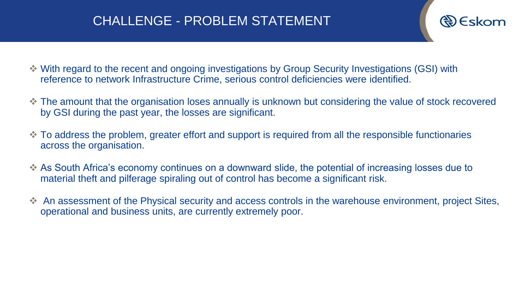# CHALLENGE - PROBLEM STATEMENT

- ❖ With regard to the recent and ongoing investigations by Group Security Investigations (GSI) with reference to network Infrastructure Crime, serious control deficiencies were identified.
- ❖ The amount that the organisation loses annually is unknown but considering the value of stock recovered by GSI during the past year, the losses are significant.
- ❖ To address the problem, greater effort and support is required from all the responsible functionaries across the organisation.
- ❖ As South Africa's economy continues on a downward slide, the potential of increasing losses due to material theft and pilferage spiraling out of control has become a significant risk.
- ❖ An assessment of the Physical security and access controls in the warehouse environment, project Sites, operational and business units, are currently extremely poor.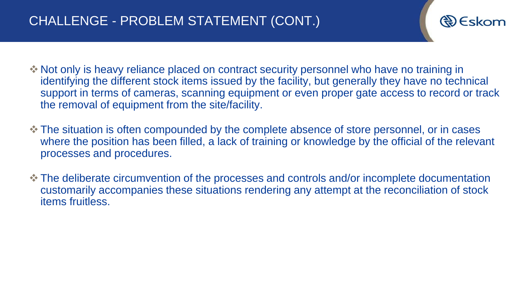

- ❖ Not only is heavy reliance placed on contract security personnel who have no training in identifying the different stock items issued by the facility, but generally they have no technical support in terms of cameras, scanning equipment or even proper gate access to record or track the removal of equipment from the site/facility.
- ❖ The situation is often compounded by the complete absence of store personnel, or in cases where the position has been filled, a lack of training or knowledge by the official of the relevant processes and procedures.
- ❖ The deliberate circumvention of the processes and controls and/or incomplete documentation customarily accompanies these situations rendering any attempt at the reconciliation of stock items fruitless.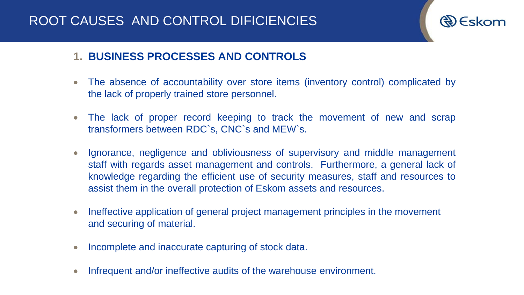# ROOT CAUSES AND CONTROL DIFICIENCIES



### **1. BUSINESS PROCESSES AND CONTROLS**

- The absence of accountability over store items (inventory control) complicated by the lack of properly trained store personnel.
- The lack of proper record keeping to track the movement of new and scrap transformers between RDC`s, CNC`s and MEW`s.
- Ignorance, negligence and obliviousness of supervisory and middle management staff with regards asset management and controls. Furthermore, a general lack of knowledge regarding the efficient use of security measures, staff and resources to assist them in the overall protection of Eskom assets and resources.
- Ineffective application of general project management principles in the movement and securing of material.
- Incomplete and inaccurate capturing of stock data.
- Infrequent and/or ineffective audits of the warehouse environment.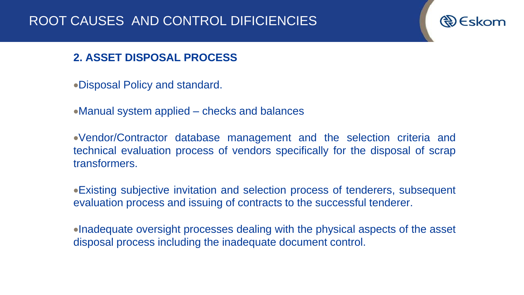#### **2. ASSET DISPOSAL PROCESS**

•Disposal Policy and standard.

•Manual system applied – checks and balances

•Vendor/Contractor database management and the selection criteria and technical evaluation process of vendors specifically for the disposal of scrap transformers.

•Existing subjective invitation and selection process of tenderers, subsequent evaluation process and issuing of contracts to the successful tenderer.

•Inadequate oversight processes dealing with the physical aspects of the asset disposal process including the inadequate document control.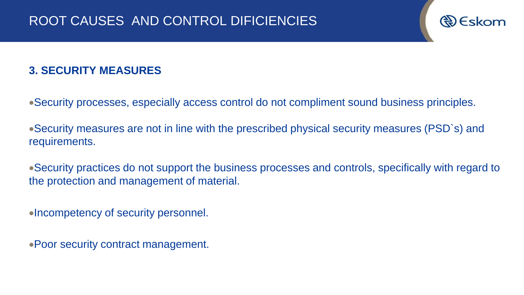### **3. SECURITY MEASURES**

- •Security processes, especially access control do not compliment sound business principles.
- •Security measures are not in line with the prescribed physical security measures (PSD`s) and requirements.
- •Security practices do not support the business processes and controls, specifically with regard to the protection and management of material.
- •Incompetency of security personnel.
- •Poor security contract management.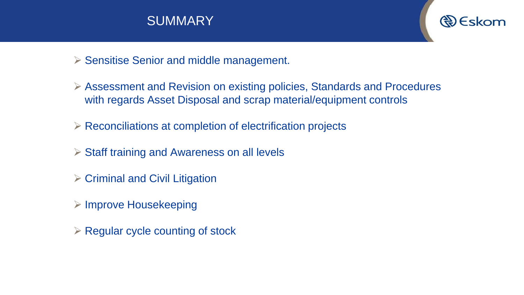



- ➢ Sensitise Senior and middle management.
- ➢ Assessment and Revision on existing policies, Standards and Procedures with regards Asset Disposal and scrap material/equipment controls
- ➢ Reconciliations at completion of electrification projects
- ➢ Staff training and Awareness on all levels
- ➢ Criminal and Civil Litigation
- ➢ Improve Housekeeping
- $\triangleright$  Regular cycle counting of stock